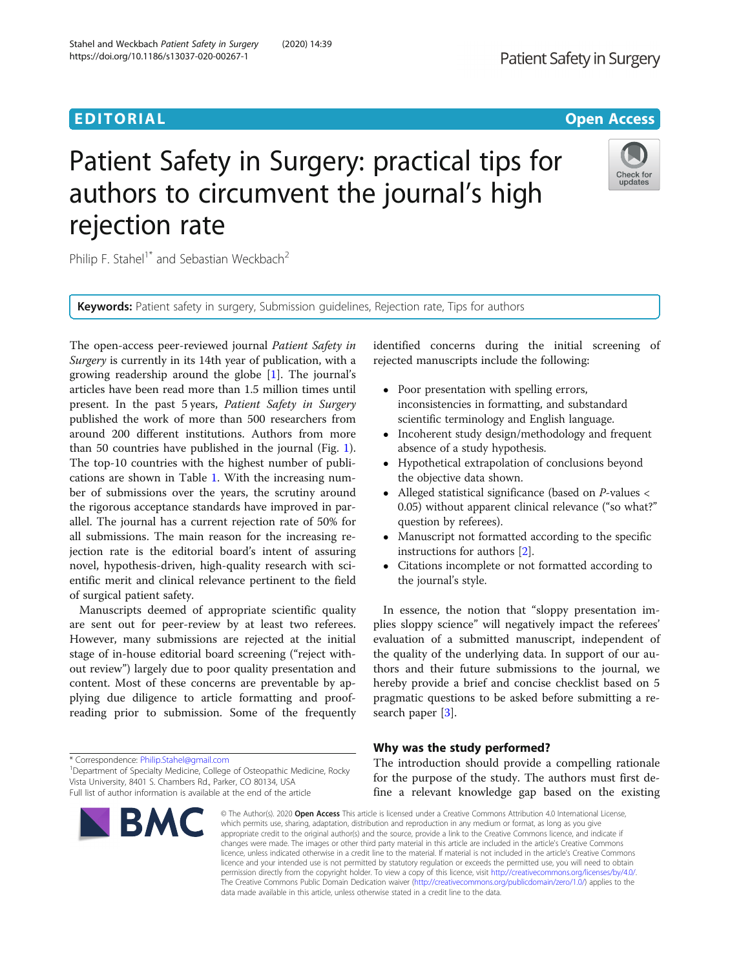# Patient Safety in Surgery: practical tips for authors to circumvent the journal's high rejection rate

Philip F. Stahel<sup>1\*</sup> and Sebastian Weckbach<sup>2</sup>

Keywords: Patient safety in surgery, Submission guidelines, Rejection rate, Tips for authors

The open-access peer-reviewed journal Patient Safety in Surgery is currently in its 14th year of publication, with a growing readership around the globe [[1\]](#page-3-0). The journal's articles have been read more than 1.5 million times until present. In the past 5 years, Patient Safety in Surgery published the work of more than 500 researchers from around 200 different institutions. Authors from more than 50 countries have published in the journal (Fig. [1](#page-1-0)). The top-10 countries with the highest number of publications are shown in Table [1](#page-1-0). With the increasing number of submissions over the years, the scrutiny around the rigorous acceptance standards have improved in parallel. The journal has a current rejection rate of 50% for all submissions. The main reason for the increasing rejection rate is the editorial board's intent of assuring novel, hypothesis-driven, high-quality research with scientific merit and clinical relevance pertinent to the field of surgical patient safety.

Manuscripts deemed of appropriate scientific quality are sent out for peer-review by at least two referees. However, many submissions are rejected at the initial stage of in-house editorial board screening ("reject without review") largely due to poor quality presentation and content. Most of these concerns are preventable by applying due diligence to article formatting and proofreading prior to submission. Some of the frequently

\* Correspondence: [Philip.Stahel@gmail.com](mailto:Philip.Stahel@gmail.com) <sup>1</sup>

<sup>1</sup> Department of Specialty Medicine, College of Osteopathic Medicine, Rocky Vista University, 8401 S. Chambers Rd., Parker, CO 80134, USA Full list of author information is available at the end of the article

# identified concerns during the initial screening of rejected manuscripts include the following:

- Poor presentation with spelling errors, inconsistencies in formatting, and substandard scientific terminology and English language.
- Incoherent study design/methodology and frequent absence of a study hypothesis.
- Hypothetical extrapolation of conclusions beyond the objective data shown.
- Alleged statistical significance (based on  $P$ -values  $\lt$ 0.05) without apparent clinical relevance ("so what?" question by referees).
- Manuscript not formatted according to the specific instructions for authors [\[2\]](#page-3-0).
- Citations incomplete or not formatted according to the journal's style.

In essence, the notion that "sloppy presentation implies sloppy science" will negatively impact the referees' evaluation of a submitted manuscript, independent of the quality of the underlying data. In support of our authors and their future submissions to the journal, we hereby provide a brief and concise checklist based on 5 pragmatic questions to be asked before submitting a re-search paper [[3\]](#page-3-0).

# Why was the study performed?

The introduction should provide a compelling rationale for the purpose of the study. The authors must first define a relevant knowledge gap based on the existing

© The Author(s). 2020 Open Access This article is licensed under a Creative Commons Attribution 4.0 International License, which permits use, sharing, adaptation, distribution and reproduction in any medium or format, as long as you give appropriate credit to the original author(s) and the source, provide a link to the Creative Commons licence, and indicate if changes were made. The images or other third party material in this article are included in the article's Creative Commons licence, unless indicated otherwise in a credit line to the material. If material is not included in the article's Creative Commons licence and your intended use is not permitted by statutory regulation or exceeds the permitted use, you will need to obtain permission directly from the copyright holder. To view a copy of this licence, visit [http://creativecommons.org/licenses/by/4.0/.](http://creativecommons.org/licenses/by/4.0/) The Creative Commons Public Domain Dedication waiver [\(http://creativecommons.org/publicdomain/zero/1.0/](http://creativecommons.org/publicdomain/zero/1.0/)) applies to the data made available in this article, unless otherwise stated in a credit line to the data.

**BMC** 





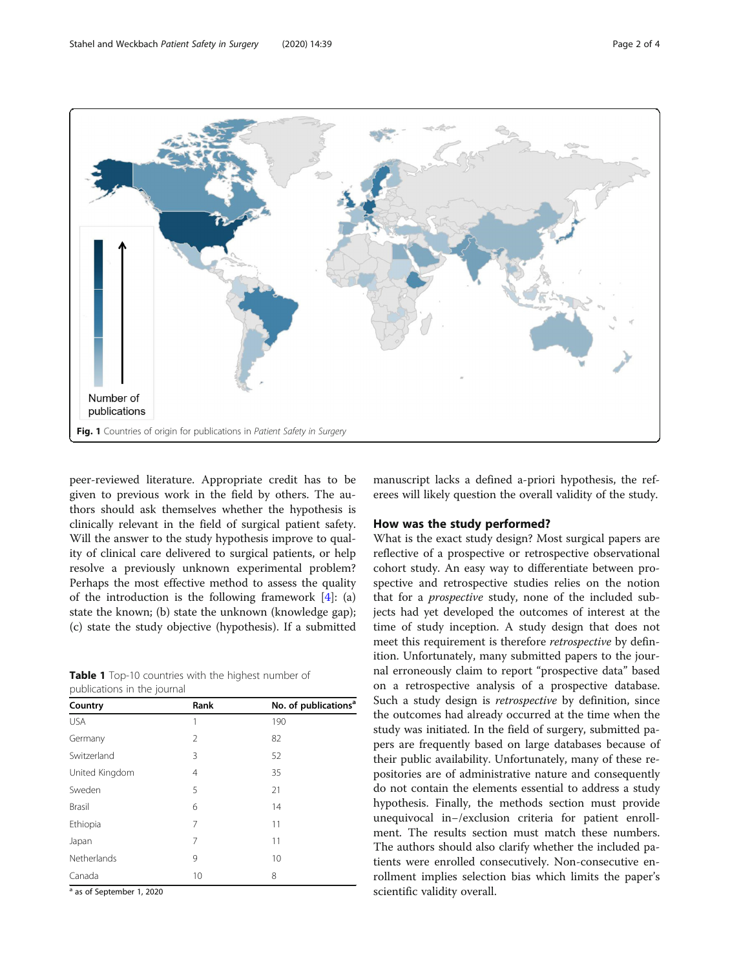<span id="page-1-0"></span>

peer-reviewed literature. Appropriate credit has to be given to previous work in the field by others. The authors should ask themselves whether the hypothesis is clinically relevant in the field of surgical patient safety. Will the answer to the study hypothesis improve to quality of clinical care delivered to surgical patients, or help resolve a previously unknown experimental problem? Perhaps the most effective method to assess the quality of the introduction is the following framework  $[4]$  $[4]$ : (a) state the known; (b) state the unknown (knowledge gap); (c) state the study objective (hypothesis). If a submitted

Table 1 Top-10 countries with the highest number of publications in the journal

| Country        | Rank           | No. of publications <sup>a</sup> |
|----------------|----------------|----------------------------------|
| <b>USA</b>     | 1              | 190                              |
| Germany        | 2              | 82                               |
| Switzerland    | 3              | 52                               |
| United Kingdom | $\overline{4}$ | 35                               |
| Sweden         | 5              | 21                               |
| <b>Brasil</b>  | 6              | 14                               |
| Ethiopia       | 7              | 11                               |
| Japan          | 7              | 11                               |
| Netherlands    | 9              | 10                               |
| Canada         | 10             | 8                                |

<sup>a</sup> as of September 1, 2020

manuscript lacks a defined a-priori hypothesis, the referees will likely question the overall validity of the study.

# How was the study performed?

What is the exact study design? Most surgical papers are reflective of a prospective or retrospective observational cohort study. An easy way to differentiate between prospective and retrospective studies relies on the notion that for a prospective study, none of the included subjects had yet developed the outcomes of interest at the time of study inception. A study design that does not meet this requirement is therefore retrospective by definition. Unfortunately, many submitted papers to the journal erroneously claim to report "prospective data" based on a retrospective analysis of a prospective database. Such a study design is retrospective by definition, since the outcomes had already occurred at the time when the study was initiated. In the field of surgery, submitted papers are frequently based on large databases because of their public availability. Unfortunately, many of these repositories are of administrative nature and consequently do not contain the elements essential to address a study hypothesis. Finally, the methods section must provide unequivocal in−/exclusion criteria for patient enrollment. The results section must match these numbers. The authors should also clarify whether the included patients were enrolled consecutively. Non-consecutive enrollment implies selection bias which limits the paper's scientific validity overall.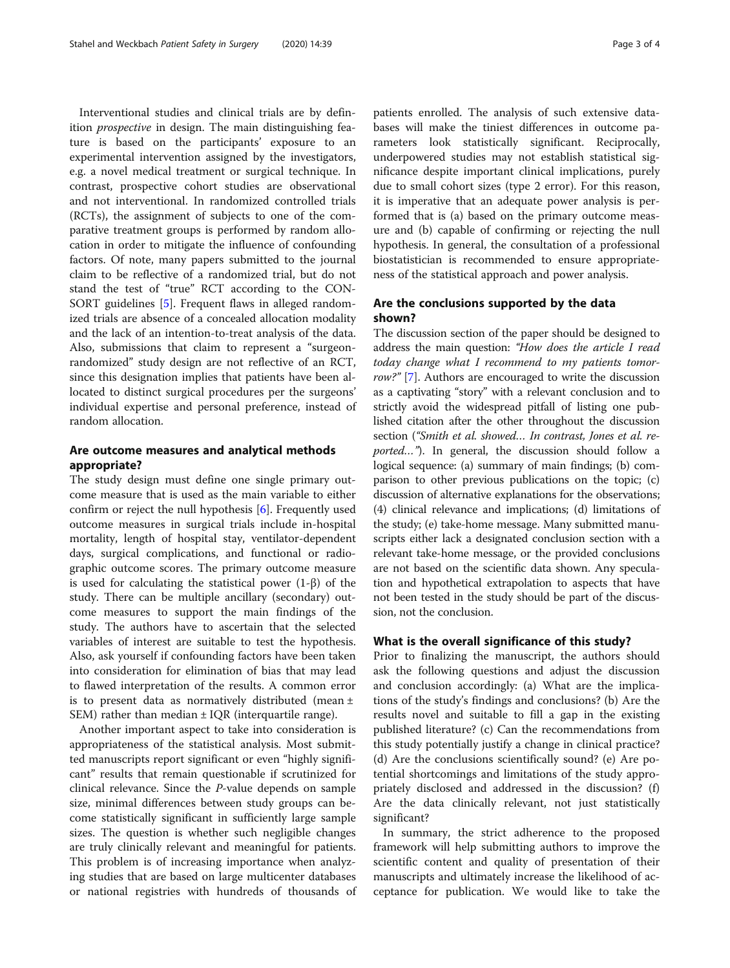Interventional studies and clinical trials are by definition *prospective* in design. The main distinguishing feature is based on the participants' exposure to an experimental intervention assigned by the investigators, e.g. a novel medical treatment or surgical technique. In contrast, prospective cohort studies are observational and not interventional. In randomized controlled trials (RCTs), the assignment of subjects to one of the comparative treatment groups is performed by random allocation in order to mitigate the influence of confounding factors. Of note, many papers submitted to the journal claim to be reflective of a randomized trial, but do not stand the test of "true" RCT according to the CON-SORT guidelines [\[5](#page-3-0)]. Frequent flaws in alleged randomized trials are absence of a concealed allocation modality and the lack of an intention-to-treat analysis of the data. Also, submissions that claim to represent a "surgeonrandomized" study design are not reflective of an RCT, since this designation implies that patients have been allocated to distinct surgical procedures per the surgeons' individual expertise and personal preference, instead of random allocation.

# Are outcome measures and analytical methods appropriate?

The study design must define one single primary outcome measure that is used as the main variable to either confirm or reject the null hypothesis [\[6](#page-3-0)]. Frequently used outcome measures in surgical trials include in-hospital mortality, length of hospital stay, ventilator-dependent days, surgical complications, and functional or radiographic outcome scores. The primary outcome measure is used for calculating the statistical power (1-β) of the study. There can be multiple ancillary (secondary) outcome measures to support the main findings of the study. The authors have to ascertain that the selected variables of interest are suitable to test the hypothesis. Also, ask yourself if confounding factors have been taken into consideration for elimination of bias that may lead to flawed interpretation of the results. A common error is to present data as normatively distributed (mean ± SEM) rather than median  $\pm$  IQR (interquartile range).

Another important aspect to take into consideration is appropriateness of the statistical analysis. Most submitted manuscripts report significant or even "highly significant" results that remain questionable if scrutinized for clinical relevance. Since the P-value depends on sample size, minimal differences between study groups can become statistically significant in sufficiently large sample sizes. The question is whether such negligible changes are truly clinically relevant and meaningful for patients. This problem is of increasing importance when analyzing studies that are based on large multicenter databases or national registries with hundreds of thousands of

patients enrolled. The analysis of such extensive databases will make the tiniest differences in outcome parameters look statistically significant. Reciprocally, underpowered studies may not establish statistical significance despite important clinical implications, purely due to small cohort sizes (type 2 error). For this reason, it is imperative that an adequate power analysis is performed that is (a) based on the primary outcome measure and (b) capable of confirming or rejecting the null hypothesis. In general, the consultation of a professional biostatistician is recommended to ensure appropriateness of the statistical approach and power analysis.

# Are the conclusions supported by the data shown?

The discussion section of the paper should be designed to address the main question: "How does the article I read today change what I recommend to my patients tomor-row?" [[7\]](#page-3-0). Authors are encouraged to write the discussion as a captivating "story" with a relevant conclusion and to strictly avoid the widespread pitfall of listing one published citation after the other throughout the discussion section ("Smith et al. showed... In contrast, Jones et al. reported..."). In general, the discussion should follow a logical sequence: (a) summary of main findings; (b) comparison to other previous publications on the topic; (c) discussion of alternative explanations for the observations; (4) clinical relevance and implications; (d) limitations of the study; (e) take-home message. Many submitted manuscripts either lack a designated conclusion section with a relevant take-home message, or the provided conclusions are not based on the scientific data shown. Any speculation and hypothetical extrapolation to aspects that have not been tested in the study should be part of the discussion, not the conclusion.

# What is the overall significance of this study?

Prior to finalizing the manuscript, the authors should ask the following questions and adjust the discussion and conclusion accordingly: (a) What are the implications of the study's findings and conclusions? (b) Are the results novel and suitable to fill a gap in the existing published literature? (c) Can the recommendations from this study potentially justify a change in clinical practice? (d) Are the conclusions scientifically sound? (e) Are potential shortcomings and limitations of the study appropriately disclosed and addressed in the discussion? (f) Are the data clinically relevant, not just statistically significant?

In summary, the strict adherence to the proposed framework will help submitting authors to improve the scientific content and quality of presentation of their manuscripts and ultimately increase the likelihood of acceptance for publication. We would like to take the